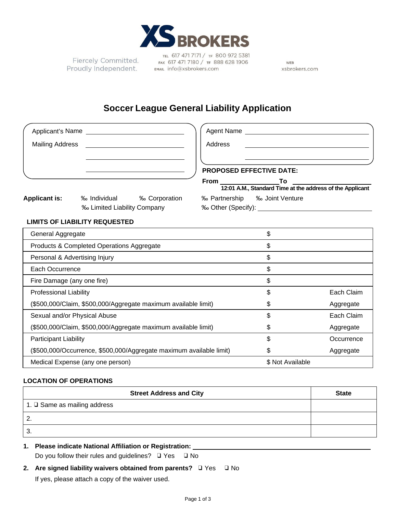

Fiercely Committed. Proudly Independent.

TEL 617 471 7171 / TF 800 972 5381 FAX 617 471 7180 / TF 888 628 1906 EMAIL info@xsbrokers.com

WEB xsbrokers.com

# **Soccer League General Liability Application**

| Applicant's Name |                        | Agent Name                         |    |                                                                                                                                                                 |
|------------------|------------------------|------------------------------------|----|-----------------------------------------------------------------------------------------------------------------------------------------------------------------|
|                  |                        | Address                            |    |                                                                                                                                                                 |
|                  |                        | From                               | To |                                                                                                                                                                 |
| ‰ Individual     | <b>% Corporation</b>   |                                    |    |                                                                                                                                                                 |
|                  | <b>Mailing Address</b> | <b>% Limited Liability Company</b> |    | <b>PROPOSED EFFECTIVE DATE:</b><br>12:01 A.M., Standard Time at the address of the Applicant<br>‰ Partnership ‰ Joint Venture<br>‰ Other (Specify): 1990 Months |

### **LIMITS OF LIABILITY REQUESTED**

| General Aggregate                                                   | S                |            |
|---------------------------------------------------------------------|------------------|------------|
| Products & Completed Operations Aggregate                           | \$               |            |
| Personal & Advertising Injury                                       | \$               |            |
| Each Occurrence                                                     | \$               |            |
| Fire Damage (any one fire)                                          | \$               |            |
| <b>Professional Liability</b>                                       | \$               | Each Claim |
| (\$500,000/Claim, \$500,000/Aggregate maximum available limit)      | \$               | Aggregate  |
| Sexual and/or Physical Abuse                                        | \$               | Each Claim |
| (\$500,000/Claim, \$500,000/Aggregate maximum available limit)      | \$               | Aggregate  |
| <b>Participant Liability</b>                                        | \$               | Occurrence |
| (\$500,000/Occurrence, \$500,000/Aggregate maximum available limit) | \$               | Aggregate  |
| Medical Expense (any one person)                                    | \$ Not Available |            |

### **LOCATION OF OPERATIONS**

| <b>Street Address and City</b> | <b>State</b> |
|--------------------------------|--------------|
| 1. D Same as mailing address   |              |
| <u>.</u>                       |              |
| J.                             |              |

# **1. Please indicate National Affiliation or Registration:**

Do you follow their rules and guidelines? ❑ Yes ❑ No

# **2. Are signed liability waivers obtained from parents?** ❑ Yes ❑ No

If yes, please attach a copy of the waiver used.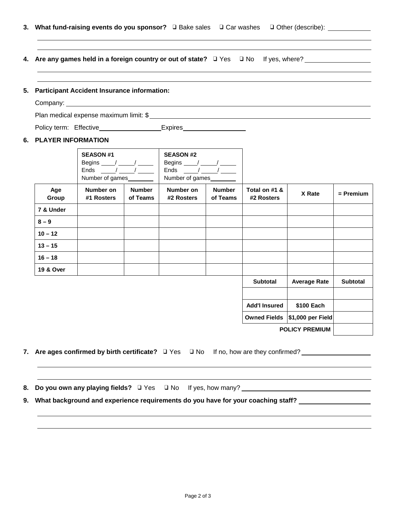- **3. What fund-raising events do you sponsor?** ❑ Bake sales ❑ Car washes ❑ Other (describe):
- **4. Are any games held in a foreign country or out of state?** ❑ Yes ❑ No If yes, where?
- **5. Participant Accident Insurance information:**

Company:

Plan medical expense maximum limit: \$

Policy term: Effective Expires Expires

#### **6. PLAYER INFORMATION**

|              | <b>SEASON #1</b><br>Begins $\frac{\ }{\ }$ / $\frac{\ }{\ }$<br>Ends $\frac{1}{2}$ /<br>Number of games |                           | <b>SEASON #2</b><br>Begins $\frac{\ }{\ }$ / $\frac{\ }{\ }$<br>Ends $\frac{\ }{\ }$<br>Number of games |                           |                             |                     |             |
|--------------|---------------------------------------------------------------------------------------------------------|---------------------------|---------------------------------------------------------------------------------------------------------|---------------------------|-----------------------------|---------------------|-------------|
| Age<br>Group | Number on<br>#1 Rosters                                                                                 | <b>Number</b><br>of Teams | Number on<br>#2 Rosters                                                                                 | <b>Number</b><br>of Teams | Total on #1 &<br>#2 Rosters | X Rate              | $=$ Premium |
| 7 & Under    |                                                                                                         |                           |                                                                                                         |                           |                             |                     |             |
| $8 - 9$      |                                                                                                         |                           |                                                                                                         |                           |                             |                     |             |
| $10 - 12$    |                                                                                                         |                           |                                                                                                         |                           |                             |                     |             |
| $13 - 15$    |                                                                                                         |                           |                                                                                                         |                           |                             |                     |             |
| $16 - 18$    |                                                                                                         |                           |                                                                                                         |                           |                             |                     |             |
| 19 & Over    |                                                                                                         |                           |                                                                                                         |                           |                             |                     |             |
|              |                                                                                                         |                           |                                                                                                         |                           | <b>Subtotal</b>             | <b>Average Rate</b> | Subtotal    |
|              |                                                                                                         |                           |                                                                                                         |                           |                             |                     |             |
|              |                                                                                                         |                           |                                                                                                         |                           | <b>Add'I Insured</b>        | \$100 Each          |             |
|              |                                                                                                         |                           |                                                                                                         |                           | <b>Owned Fields</b>         | \$1,000 per Field   |             |
|              | <b>POLICY PREMIUM</b>                                                                                   |                           |                                                                                                         |                           |                             |                     |             |

**7. Are ages confirmed by birth certificate?** ❑ Yes ❑ No If no, how are they confirmed?

**8. Do you own any playing fields?** ❑ Yes ❑ No If yes, how many?

**9. What background and experience requirements do you have for your coaching staff?**